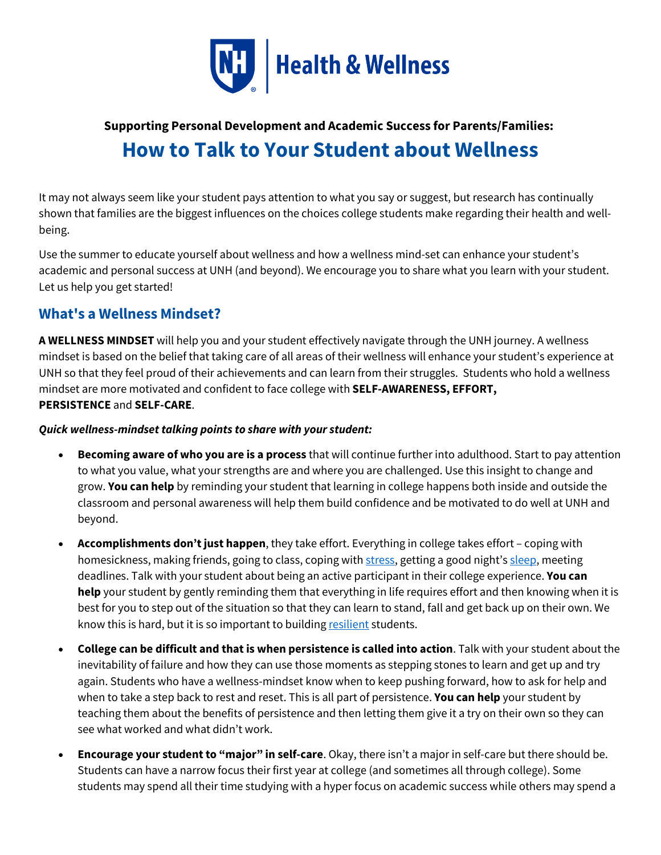

# **Supporting Personal Development and Academic Success for Parents/Families: How to Talk to Your Student about Wellness**

It may not always seem like your student pays attention to what you say or suggest, but research has continually shown that families are the biggest influences on the choices college students make regarding their health and wellbeing.

Use the summer to educate yourself about wellness and how a wellness mind-set can enhance your student's academic and personal success at UNH (and beyond). We encourage you to share what you learn with your student. Let us help you get started!

### **What's a Wellness Mindset?**

**A WELLNESS MINDSET** will help you and your student effectively navigate through the UNH journey. A wellness mindset is based on the belief that taking care of all areas of their wellness will enhance your student's experience at UNH so that they feel proud of their achievements and can learn from their struggles. Students who hold a wellness mindset are more motivated and confident to face college with **SELF-AWARENESS, EFFORT, PERSISTENCE** and **SELF-CARE**.

#### *Quick wellness-mindset talking points to share with your student:*

- **Becoming aware of who you are is a process** that will continue further into adulthood. Start to pay attention to what you value, what your strengths are and where you are challenged. Use this insight to change and grow. **You can help** by reminding your student that learning in college happens both inside and outside the classroom and personal awareness will help them build confidence and be motivated to do well at UNH and beyond.
- **Accomplishments don't just happen**, they take effort. Everything in college takes effort coping with homesickness, making friends, going to class, coping with [stress,](https://www.unh.edu/health/well/stress/understanding-coping-stress) getting a good night's [sleep,](https://www.unh.edu/health/well/sleep) meeting deadlines. Talk with your student about being an active participant in their college experience. **You can help** your student by gently reminding them that everything in life requires effort and then knowing when it is best for you to step out of the situation so that they can learn to stand, fall and get back up on their own. We know this is hard, but it is so important to building [resilient](https://www.unh.edu/health/well/stress/resiliency) students.
- **College can be difficult and that is when persistence is called into action**. Talk with your student about the inevitability of failure and how they can use those moments as stepping stones to learn and get up and try again. Students who have a wellness-mindset know when to keep pushing forward, how to ask for help and when to take a step back to rest and reset. This is all part of persistence. **You can help** your student by teaching them about the benefits of persistence and then letting them give it a try on their own so they can see what worked and what didn't work.
- **Encourage your student to "major" in self-care**. Okay, there isn't a major in self-care but there should be. Students can have a narrow focus their first year at college (and sometimes all through college). Some students may spend all their time studying with a hyper focus on academic success while others may spend a